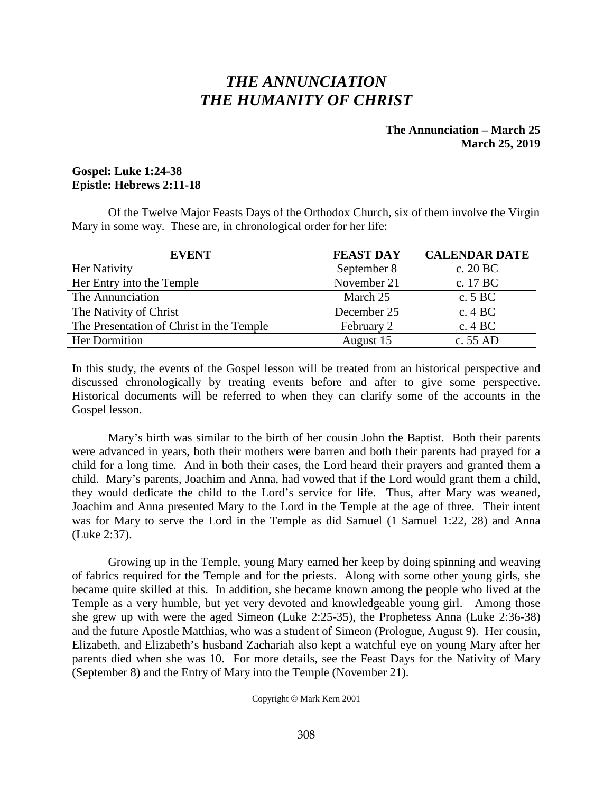# *THE ANNUNCIATION THE HUMANITY OF CHRIST*

# **The Annunciation – March 25 March 25, 2019**

# **Gospel: Luke 1:24-38 Epistle: Hebrews 2:11-18**

Of the Twelve Major Feasts Days of the Orthodox Church, six of them involve the Virgin Mary in some way. These are, in chronological order for her life:

| <b>EVENT</b>                             | <b>FEAST DAY</b> | <b>CALENDAR DATE</b> |
|------------------------------------------|------------------|----------------------|
| Her Nativity                             | September 8      | c. $20 BC$           |
| Her Entry into the Temple                | November 21      | c. 17 BC             |
| The Annunciation                         | March 25         | c. 5 BC              |
| The Nativity of Christ                   | December 25      | c. $4 BC$            |
| The Presentation of Christ in the Temple | February 2       | c. $4 BC$            |
| Her Dormition                            | August 15        | c. 55 AD             |

In this study, the events of the Gospel lesson will be treated from an historical perspective and discussed chronologically by treating events before and after to give some perspective. Historical documents will be referred to when they can clarify some of the accounts in the Gospel lesson.

Mary's birth was similar to the birth of her cousin John the Baptist. Both their parents were advanced in years, both their mothers were barren and both their parents had prayed for a child for a long time. And in both their cases, the Lord heard their prayers and granted them a child. Mary's parents, Joachim and Anna, had vowed that if the Lord would grant them a child, they would dedicate the child to the Lord's service for life. Thus, after Mary was weaned, Joachim and Anna presented Mary to the Lord in the Temple at the age of three. Their intent was for Mary to serve the Lord in the Temple as did Samuel (1 Samuel 1:22, 28) and Anna (Luke 2:37).

Growing up in the Temple, young Mary earned her keep by doing spinning and weaving of fabrics required for the Temple and for the priests. Along with some other young girls, she became quite skilled at this. In addition, she became known among the people who lived at the Temple as a very humble, but yet very devoted and knowledgeable young girl. Among those she grew up with were the aged Simeon (Luke 2:25-35), the Prophetess Anna (Luke 2:36-38) and the future Apostle Matthias, who was a student of Simeon (Prologue, August 9). Her cousin, Elizabeth, and Elizabeth's husband Zachariah also kept a watchful eye on young Mary after her parents died when she was 10. For more details, see the Feast Days for the Nativity of Mary (September 8) and the Entry of Mary into the Temple (November 21).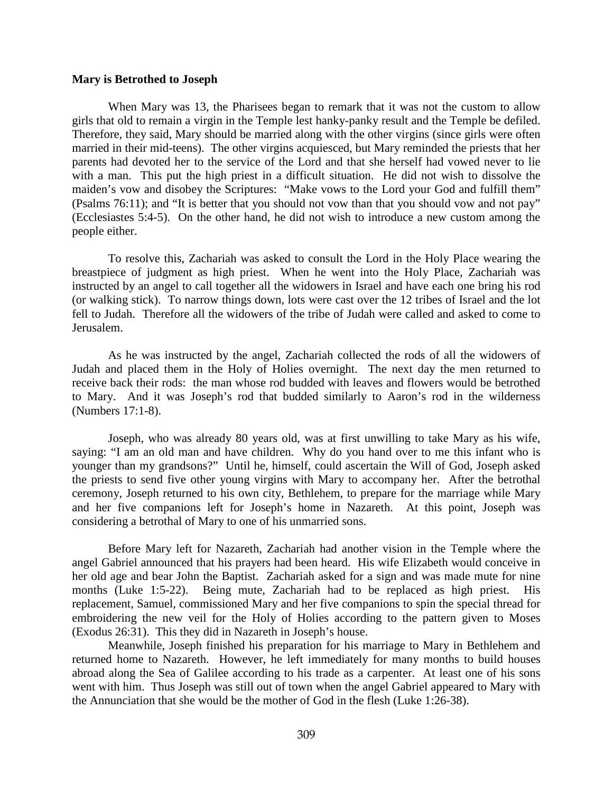#### **Mary is Betrothed to Joseph**

When Mary was 13, the Pharisees began to remark that it was not the custom to allow girls that old to remain a virgin in the Temple lest hanky-panky result and the Temple be defiled. Therefore, they said, Mary should be married along with the other virgins (since girls were often married in their mid-teens). The other virgins acquiesced, but Mary reminded the priests that her parents had devoted her to the service of the Lord and that she herself had vowed never to lie with a man. This put the high priest in a difficult situation. He did not wish to dissolve the maiden's vow and disobey the Scriptures: "Make vows to the Lord your God and fulfill them" (Psalms 76:11); and "It is better that you should not vow than that you should vow and not pay" (Ecclesiastes 5:4-5). On the other hand, he did not wish to introduce a new custom among the people either.

To resolve this, Zachariah was asked to consult the Lord in the Holy Place wearing the breastpiece of judgment as high priest. When he went into the Holy Place, Zachariah was instructed by an angel to call together all the widowers in Israel and have each one bring his rod (or walking stick). To narrow things down, lots were cast over the 12 tribes of Israel and the lot fell to Judah. Therefore all the widowers of the tribe of Judah were called and asked to come to Jerusalem.

As he was instructed by the angel, Zachariah collected the rods of all the widowers of Judah and placed them in the Holy of Holies overnight. The next day the men returned to receive back their rods: the man whose rod budded with leaves and flowers would be betrothed to Mary. And it was Joseph's rod that budded similarly to Aaron's rod in the wilderness (Numbers 17:1-8).

Joseph, who was already 80 years old, was at first unwilling to take Mary as his wife, saying: "I am an old man and have children. Why do you hand over to me this infant who is younger than my grandsons?" Until he, himself, could ascertain the Will of God, Joseph asked the priests to send five other young virgins with Mary to accompany her. After the betrothal ceremony, Joseph returned to his own city, Bethlehem, to prepare for the marriage while Mary and her five companions left for Joseph's home in Nazareth. At this point, Joseph was considering a betrothal of Mary to one of his unmarried sons.

Before Mary left for Nazareth, Zachariah had another vision in the Temple where the angel Gabriel announced that his prayers had been heard. His wife Elizabeth would conceive in her old age and bear John the Baptist. Zachariah asked for a sign and was made mute for nine months (Luke 1:5-22). Being mute, Zachariah had to be replaced as high priest. His replacement, Samuel, commissioned Mary and her five companions to spin the special thread for embroidering the new veil for the Holy of Holies according to the pattern given to Moses (Exodus 26:31). This they did in Nazareth in Joseph's house.

Meanwhile, Joseph finished his preparation for his marriage to Mary in Bethlehem and returned home to Nazareth. However, he left immediately for many months to build houses abroad along the Sea of Galilee according to his trade as a carpenter. At least one of his sons went with him. Thus Joseph was still out of town when the angel Gabriel appeared to Mary with the Annunciation that she would be the mother of God in the flesh (Luke 1:26-38).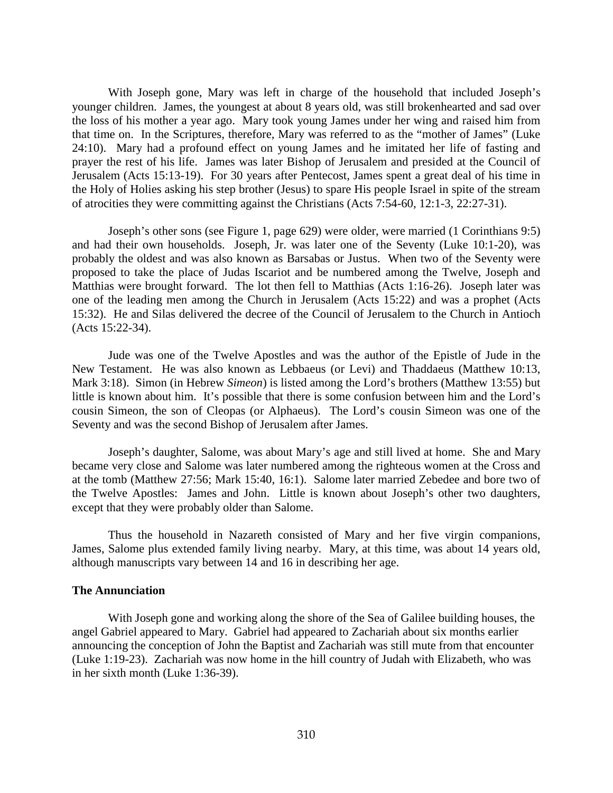With Joseph gone, Mary was left in charge of the household that included Joseph's younger children. James, the youngest at about 8 years old, was still brokenhearted and sad over the loss of his mother a year ago. Mary took young James under her wing and raised him from that time on. In the Scriptures, therefore, Mary was referred to as the "mother of James" (Luke 24:10). Mary had a profound effect on young James and he imitated her life of fasting and prayer the rest of his life. James was later Bishop of Jerusalem and presided at the Council of Jerusalem (Acts 15:13-19). For 30 years after Pentecost, James spent a great deal of his time in the Holy of Holies asking his step brother (Jesus) to spare His people Israel in spite of the stream of atrocities they were committing against the Christians (Acts 7:54-60, 12:1-3, 22:27-31).

Joseph's other sons (see Figure 1, page 629) were older, were married (1 Corinthians 9:5) and had their own households. Joseph, Jr. was later one of the Seventy (Luke 10:1-20), was probably the oldest and was also known as Barsabas or Justus. When two of the Seventy were proposed to take the place of Judas Iscariot and be numbered among the Twelve, Joseph and Matthias were brought forward. The lot then fell to Matthias (Acts 1:16-26). Joseph later was one of the leading men among the Church in Jerusalem (Acts 15:22) and was a prophet (Acts 15:32). He and Silas delivered the decree of the Council of Jerusalem to the Church in Antioch (Acts 15:22-34).

Jude was one of the Twelve Apostles and was the author of the Epistle of Jude in the New Testament. He was also known as Lebbaeus (or Levi) and Thaddaeus (Matthew 10:13, Mark 3:18). Simon (in Hebrew *Simeon*) is listed among the Lord's brothers (Matthew 13:55) but little is known about him. It's possible that there is some confusion between him and the Lord's cousin Simeon, the son of Cleopas (or Alphaeus). The Lord's cousin Simeon was one of the Seventy and was the second Bishop of Jerusalem after James.

Joseph's daughter, Salome, was about Mary's age and still lived at home. She and Mary became very close and Salome was later numbered among the righteous women at the Cross and at the tomb (Matthew 27:56; Mark 15:40, 16:1). Salome later married Zebedee and bore two of the Twelve Apostles: James and John. Little is known about Joseph's other two daughters, except that they were probably older than Salome.

Thus the household in Nazareth consisted of Mary and her five virgin companions, James, Salome plus extended family living nearby. Mary, at this time, was about 14 years old, although manuscripts vary between 14 and 16 in describing her age.

## **The Annunciation**

With Joseph gone and working along the shore of the Sea of Galilee building houses, the angel Gabriel appeared to Mary. Gabriel had appeared to Zachariah about six months earlier announcing the conception of John the Baptist and Zachariah was still mute from that encounter (Luke 1:19-23). Zachariah was now home in the hill country of Judah with Elizabeth, who was in her sixth month (Luke 1:36-39).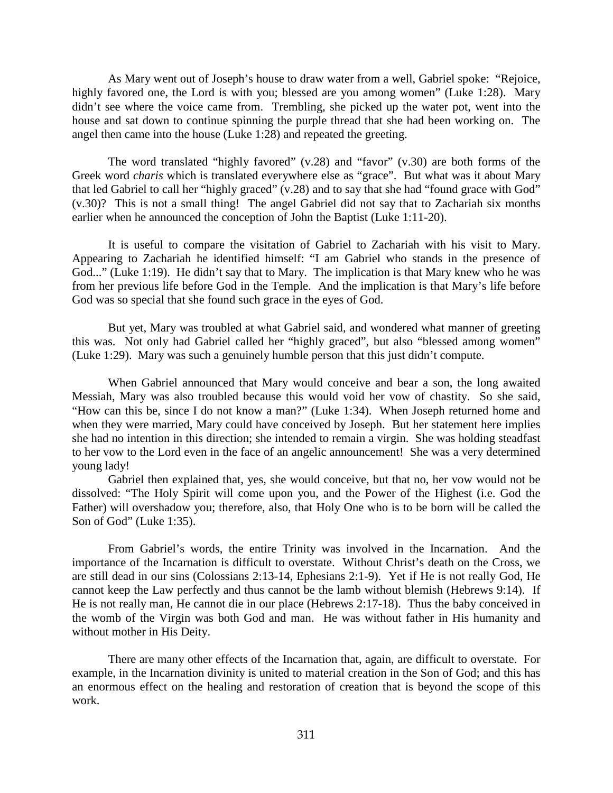As Mary went out of Joseph's house to draw water from a well, Gabriel spoke: "Rejoice, highly favored one, the Lord is with you; blessed are you among women" (Luke 1:28). Mary didn't see where the voice came from. Trembling, she picked up the water pot, went into the house and sat down to continue spinning the purple thread that she had been working on. The angel then came into the house (Luke 1:28) and repeated the greeting.

The word translated "highly favored" (v.28) and "favor" (v.30) are both forms of the Greek word *charis* which is translated everywhere else as "grace". But what was it about Mary that led Gabriel to call her "highly graced" (v.28) and to say that she had "found grace with God" (v.30)? This is not a small thing! The angel Gabriel did not say that to Zachariah six months earlier when he announced the conception of John the Baptist (Luke 1:11-20).

It is useful to compare the visitation of Gabriel to Zachariah with his visit to Mary. Appearing to Zachariah he identified himself: "I am Gabriel who stands in the presence of God..." (Luke 1:19). He didn't say that to Mary. The implication is that Mary knew who he was from her previous life before God in the Temple. And the implication is that Mary's life before God was so special that she found such grace in the eyes of God.

But yet, Mary was troubled at what Gabriel said, and wondered what manner of greeting this was. Not only had Gabriel called her "highly graced", but also "blessed among women" (Luke 1:29). Mary was such a genuinely humble person that this just didn't compute.

When Gabriel announced that Mary would conceive and bear a son, the long awaited Messiah, Mary was also troubled because this would void her vow of chastity. So she said, "How can this be, since I do not know a man?" (Luke 1:34). When Joseph returned home and when they were married, Mary could have conceived by Joseph. But her statement here implies she had no intention in this direction; she intended to remain a virgin. She was holding steadfast to her vow to the Lord even in the face of an angelic announcement! She was a very determined young lady!

Gabriel then explained that, yes, she would conceive, but that no, her vow would not be dissolved: "The Holy Spirit will come upon you, and the Power of the Highest (i.e. God the Father) will overshadow you; therefore, also, that Holy One who is to be born will be called the Son of God" (Luke 1:35).

From Gabriel's words, the entire Trinity was involved in the Incarnation. And the importance of the Incarnation is difficult to overstate. Without Christ's death on the Cross, we are still dead in our sins (Colossians 2:13-14, Ephesians 2:1-9). Yet if He is not really God, He cannot keep the Law perfectly and thus cannot be the lamb without blemish (Hebrews 9:14). If He is not really man, He cannot die in our place (Hebrews 2:17-18). Thus the baby conceived in the womb of the Virgin was both God and man. He was without father in His humanity and without mother in His Deity.

There are many other effects of the Incarnation that, again, are difficult to overstate. For example, in the Incarnation divinity is united to material creation in the Son of God; and this has an enormous effect on the healing and restoration of creation that is beyond the scope of this work.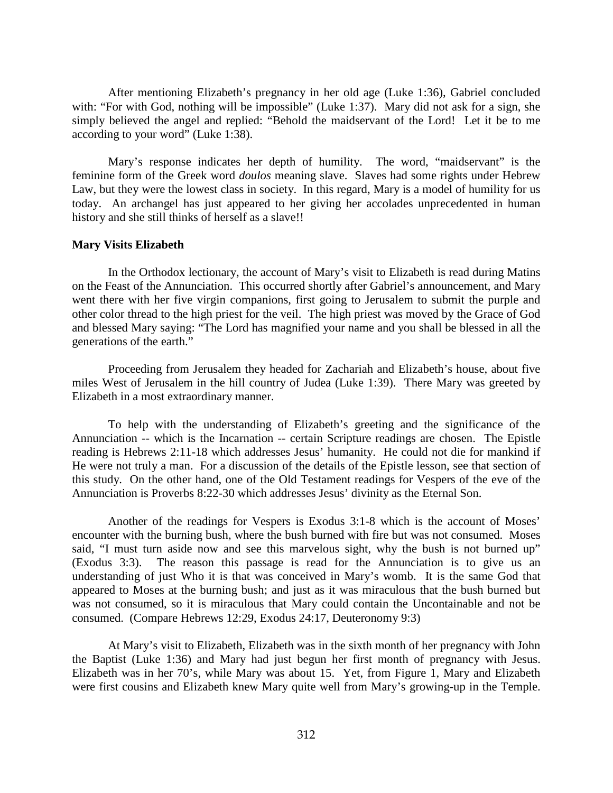After mentioning Elizabeth's pregnancy in her old age (Luke 1:36), Gabriel concluded with: "For with God, nothing will be impossible" (Luke 1:37). Mary did not ask for a sign, she simply believed the angel and replied: "Behold the maidservant of the Lord! Let it be to me according to your word" (Luke 1:38).

Mary's response indicates her depth of humility. The word, "maidservant" is the feminine form of the Greek word *doulos* meaning slave. Slaves had some rights under Hebrew Law, but they were the lowest class in society. In this regard, Mary is a model of humility for us today. An archangel has just appeared to her giving her accolades unprecedented in human history and she still thinks of herself as a slave!!

#### **Mary Visits Elizabeth**

In the Orthodox lectionary, the account of Mary's visit to Elizabeth is read during Matins on the Feast of the Annunciation. This occurred shortly after Gabriel's announcement, and Mary went there with her five virgin companions, first going to Jerusalem to submit the purple and other color thread to the high priest for the veil. The high priest was moved by the Grace of God and blessed Mary saying: "The Lord has magnified your name and you shall be blessed in all the generations of the earth."

Proceeding from Jerusalem they headed for Zachariah and Elizabeth's house, about five miles West of Jerusalem in the hill country of Judea (Luke 1:39). There Mary was greeted by Elizabeth in a most extraordinary manner.

To help with the understanding of Elizabeth's greeting and the significance of the Annunciation -- which is the Incarnation -- certain Scripture readings are chosen. The Epistle reading is Hebrews 2:11-18 which addresses Jesus' humanity. He could not die for mankind if He were not truly a man. For a discussion of the details of the Epistle lesson, see that section of this study. On the other hand, one of the Old Testament readings for Vespers of the eve of the Annunciation is Proverbs 8:22-30 which addresses Jesus' divinity as the Eternal Son.

Another of the readings for Vespers is Exodus 3:1-8 which is the account of Moses' encounter with the burning bush, where the bush burned with fire but was not consumed. Moses said, "I must turn aside now and see this marvelous sight, why the bush is not burned up" (Exodus 3:3). The reason this passage is read for the Annunciation is to give us an understanding of just Who it is that was conceived in Mary's womb. It is the same God that appeared to Moses at the burning bush; and just as it was miraculous that the bush burned but was not consumed, so it is miraculous that Mary could contain the Uncontainable and not be consumed. (Compare Hebrews 12:29, Exodus 24:17, Deuteronomy 9:3)

At Mary's visit to Elizabeth, Elizabeth was in the sixth month of her pregnancy with John the Baptist (Luke 1:36) and Mary had just begun her first month of pregnancy with Jesus. Elizabeth was in her 70's, while Mary was about 15. Yet, from Figure 1, Mary and Elizabeth were first cousins and Elizabeth knew Mary quite well from Mary's growing-up in the Temple.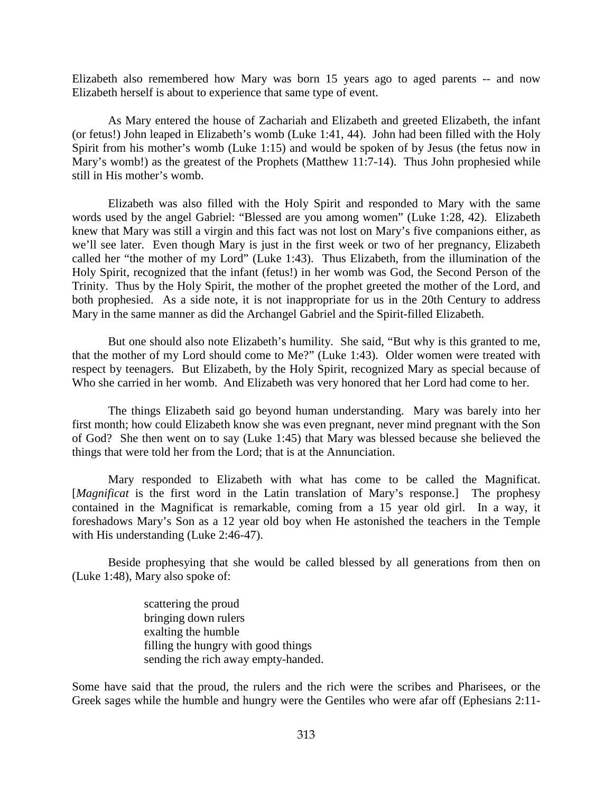Elizabeth also remembered how Mary was born 15 years ago to aged parents -- and now Elizabeth herself is about to experience that same type of event.

As Mary entered the house of Zachariah and Elizabeth and greeted Elizabeth, the infant (or fetus!) John leaped in Elizabeth's womb (Luke 1:41, 44). John had been filled with the Holy Spirit from his mother's womb (Luke 1:15) and would be spoken of by Jesus (the fetus now in Mary's womb!) as the greatest of the Prophets (Matthew 11:7-14). Thus John prophesied while still in His mother's womb.

Elizabeth was also filled with the Holy Spirit and responded to Mary with the same words used by the angel Gabriel: "Blessed are you among women" (Luke 1:28, 42). Elizabeth knew that Mary was still a virgin and this fact was not lost on Mary's five companions either, as we'll see later. Even though Mary is just in the first week or two of her pregnancy, Elizabeth called her "the mother of my Lord" (Luke 1:43). Thus Elizabeth, from the illumination of the Holy Spirit, recognized that the infant (fetus!) in her womb was God, the Second Person of the Trinity. Thus by the Holy Spirit, the mother of the prophet greeted the mother of the Lord, and both prophesied. As a side note, it is not inappropriate for us in the 20th Century to address Mary in the same manner as did the Archangel Gabriel and the Spirit-filled Elizabeth.

But one should also note Elizabeth's humility. She said, "But why is this granted to me, that the mother of my Lord should come to Me?" (Luke 1:43). Older women were treated with respect by teenagers. But Elizabeth, by the Holy Spirit, recognized Mary as special because of Who she carried in her womb. And Elizabeth was very honored that her Lord had come to her.

The things Elizabeth said go beyond human understanding. Mary was barely into her first month; how could Elizabeth know she was even pregnant, never mind pregnant with the Son of God? She then went on to say (Luke 1:45) that Mary was blessed because she believed the things that were told her from the Lord; that is at the Annunciation.

Mary responded to Elizabeth with what has come to be called the Magnificat. [*Magnificat* is the first word in the Latin translation of Mary's response.] The prophesy contained in the Magnificat is remarkable, coming from a 15 year old girl. In a way, it foreshadows Mary's Son as a 12 year old boy when He astonished the teachers in the Temple with His understanding (Luke 2:46-47).

Beside prophesying that she would be called blessed by all generations from then on (Luke 1:48), Mary also spoke of:

> scattering the proud bringing down rulers exalting the humble filling the hungry with good things sending the rich away empty-handed.

Some have said that the proud, the rulers and the rich were the scribes and Pharisees, or the Greek sages while the humble and hungry were the Gentiles who were afar off (Ephesians 2:11-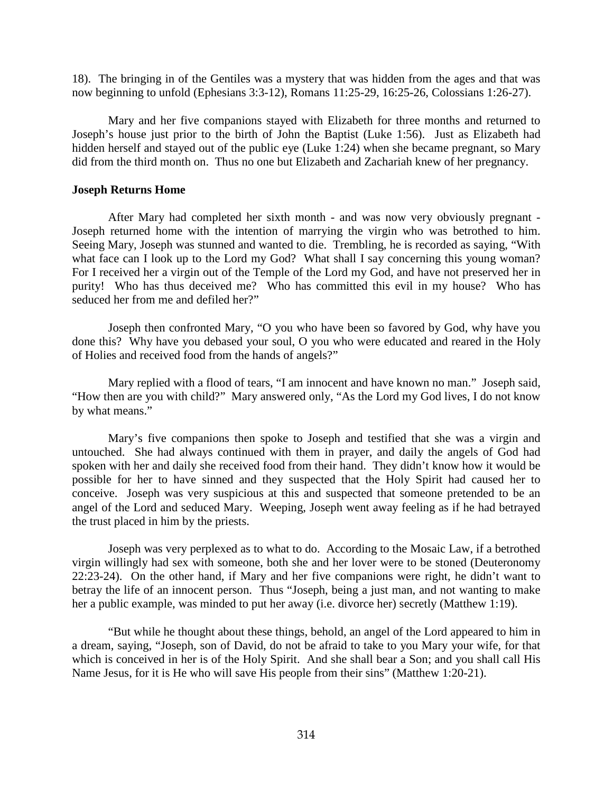18). The bringing in of the Gentiles was a mystery that was hidden from the ages and that was now beginning to unfold (Ephesians 3:3-12), Romans 11:25-29, 16:25-26, Colossians 1:26-27).

Mary and her five companions stayed with Elizabeth for three months and returned to Joseph's house just prior to the birth of John the Baptist (Luke 1:56). Just as Elizabeth had hidden herself and stayed out of the public eye (Luke 1:24) when she became pregnant, so Mary did from the third month on. Thus no one but Elizabeth and Zachariah knew of her pregnancy.

#### **Joseph Returns Home**

After Mary had completed her sixth month - and was now very obviously pregnant - Joseph returned home with the intention of marrying the virgin who was betrothed to him. Seeing Mary, Joseph was stunned and wanted to die. Trembling, he is recorded as saying, "With what face can I look up to the Lord my God? What shall I say concerning this young woman? For I received her a virgin out of the Temple of the Lord my God, and have not preserved her in purity! Who has thus deceived me? Who has committed this evil in my house? Who has seduced her from me and defiled her?"

Joseph then confronted Mary, "O you who have been so favored by God, why have you done this? Why have you debased your soul, O you who were educated and reared in the Holy of Holies and received food from the hands of angels?"

Mary replied with a flood of tears, "I am innocent and have known no man." Joseph said, "How then are you with child?" Mary answered only, "As the Lord my God lives, I do not know by what means."

Mary's five companions then spoke to Joseph and testified that she was a virgin and untouched. She had always continued with them in prayer, and daily the angels of God had spoken with her and daily she received food from their hand. They didn't know how it would be possible for her to have sinned and they suspected that the Holy Spirit had caused her to conceive. Joseph was very suspicious at this and suspected that someone pretended to be an angel of the Lord and seduced Mary. Weeping, Joseph went away feeling as if he had betrayed the trust placed in him by the priests.

Joseph was very perplexed as to what to do. According to the Mosaic Law, if a betrothed virgin willingly had sex with someone, both she and her lover were to be stoned (Deuteronomy 22:23-24). On the other hand, if Mary and her five companions were right, he didn't want to betray the life of an innocent person. Thus "Joseph, being a just man, and not wanting to make her a public example, was minded to put her away (i.e. divorce her) secretly (Matthew 1:19).

"But while he thought about these things, behold, an angel of the Lord appeared to him in a dream, saying, "Joseph, son of David, do not be afraid to take to you Mary your wife, for that which is conceived in her is of the Holy Spirit. And she shall bear a Son; and you shall call His Name Jesus, for it is He who will save His people from their sins" (Matthew 1:20-21).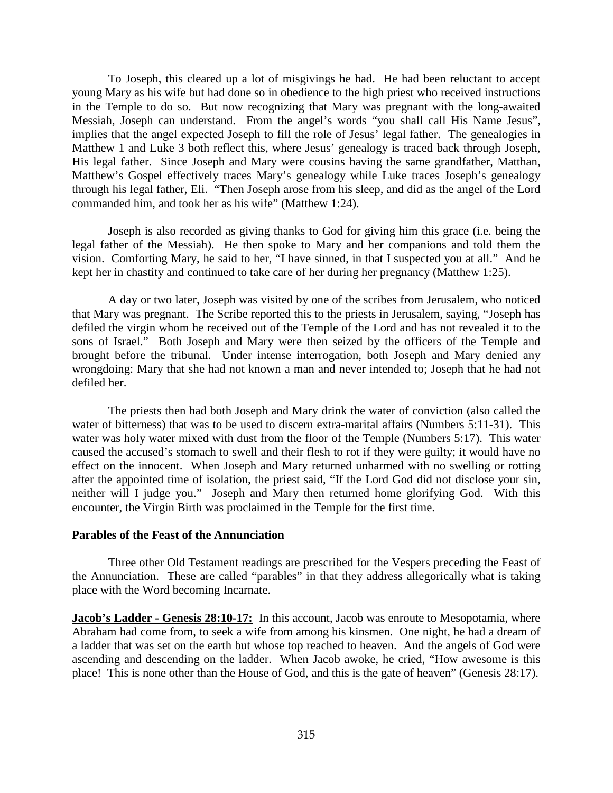To Joseph, this cleared up a lot of misgivings he had. He had been reluctant to accept young Mary as his wife but had done so in obedience to the high priest who received instructions in the Temple to do so. But now recognizing that Mary was pregnant with the long-awaited Messiah, Joseph can understand. From the angel's words "you shall call His Name Jesus", implies that the angel expected Joseph to fill the role of Jesus' legal father. The genealogies in Matthew 1 and Luke 3 both reflect this, where Jesus' genealogy is traced back through Joseph, His legal father. Since Joseph and Mary were cousins having the same grandfather, Matthan, Matthew's Gospel effectively traces Mary's genealogy while Luke traces Joseph's genealogy through his legal father, Eli. "Then Joseph arose from his sleep, and did as the angel of the Lord commanded him, and took her as his wife" (Matthew 1:24).

Joseph is also recorded as giving thanks to God for giving him this grace (i.e. being the legal father of the Messiah). He then spoke to Mary and her companions and told them the vision. Comforting Mary, he said to her, "I have sinned, in that I suspected you at all." And he kept her in chastity and continued to take care of her during her pregnancy (Matthew 1:25).

A day or two later, Joseph was visited by one of the scribes from Jerusalem, who noticed that Mary was pregnant. The Scribe reported this to the priests in Jerusalem, saying, "Joseph has defiled the virgin whom he received out of the Temple of the Lord and has not revealed it to the sons of Israel." Both Joseph and Mary were then seized by the officers of the Temple and brought before the tribunal. Under intense interrogation, both Joseph and Mary denied any wrongdoing: Mary that she had not known a man and never intended to; Joseph that he had not defiled her.

The priests then had both Joseph and Mary drink the water of conviction (also called the water of bitterness) that was to be used to discern extra-marital affairs (Numbers 5:11-31). This water was holy water mixed with dust from the floor of the Temple (Numbers 5:17). This water caused the accused's stomach to swell and their flesh to rot if they were guilty; it would have no effect on the innocent. When Joseph and Mary returned unharmed with no swelling or rotting after the appointed time of isolation, the priest said, "If the Lord God did not disclose your sin, neither will I judge you." Joseph and Mary then returned home glorifying God. With this encounter, the Virgin Birth was proclaimed in the Temple for the first time.

## **Parables of the Feast of the Annunciation**

Three other Old Testament readings are prescribed for the Vespers preceding the Feast of the Annunciation. These are called "parables" in that they address allegorically what is taking place with the Word becoming Incarnate.

**Jacob's Ladder - Genesis 28:10-17:** In this account, Jacob was enroute to Mesopotamia, where Abraham had come from, to seek a wife from among his kinsmen. One night, he had a dream of a ladder that was set on the earth but whose top reached to heaven. And the angels of God were ascending and descending on the ladder. When Jacob awoke, he cried, "How awesome is this place! This is none other than the House of God, and this is the gate of heaven" (Genesis 28:17).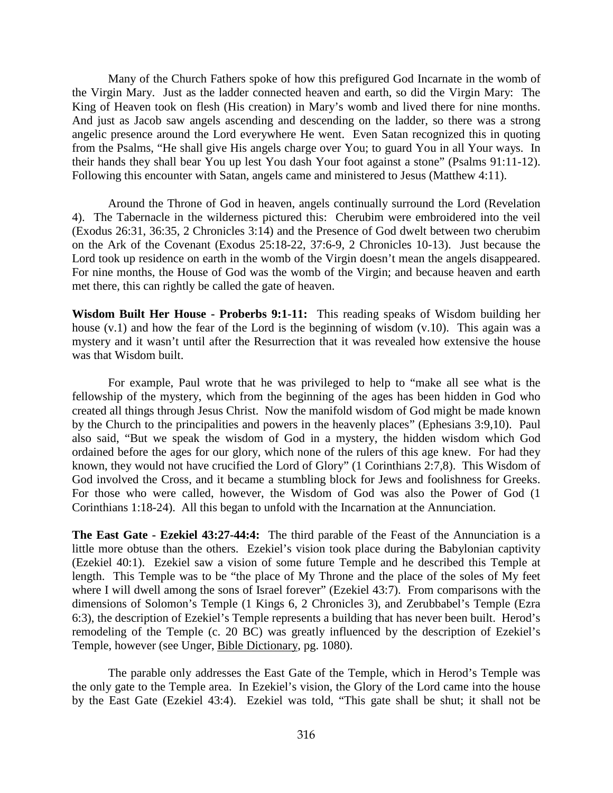Many of the Church Fathers spoke of how this prefigured God Incarnate in the womb of the Virgin Mary. Just as the ladder connected heaven and earth, so did the Virgin Mary: The King of Heaven took on flesh (His creation) in Mary's womb and lived there for nine months. And just as Jacob saw angels ascending and descending on the ladder, so there was a strong angelic presence around the Lord everywhere He went. Even Satan recognized this in quoting from the Psalms, "He shall give His angels charge over You; to guard You in all Your ways. In their hands they shall bear You up lest You dash Your foot against a stone" (Psalms 91:11-12). Following this encounter with Satan, angels came and ministered to Jesus (Matthew 4:11).

Around the Throne of God in heaven, angels continually surround the Lord (Revelation 4). The Tabernacle in the wilderness pictured this: Cherubim were embroidered into the veil (Exodus 26:31, 36:35, 2 Chronicles 3:14) and the Presence of God dwelt between two cherubim on the Ark of the Covenant (Exodus 25:18-22, 37:6-9, 2 Chronicles 10-13). Just because the Lord took up residence on earth in the womb of the Virgin doesn't mean the angels disappeared. For nine months, the House of God was the womb of the Virgin; and because heaven and earth met there, this can rightly be called the gate of heaven.

**Wisdom Built Her House - Proberbs 9:1-11:** This reading speaks of Wisdom building her house (v.1) and how the fear of the Lord is the beginning of wisdom (v.10). This again was a mystery and it wasn't until after the Resurrection that it was revealed how extensive the house was that Wisdom built.

For example, Paul wrote that he was privileged to help to "make all see what is the fellowship of the mystery, which from the beginning of the ages has been hidden in God who created all things through Jesus Christ. Now the manifold wisdom of God might be made known by the Church to the principalities and powers in the heavenly places" (Ephesians 3:9,10). Paul also said, "But we speak the wisdom of God in a mystery, the hidden wisdom which God ordained before the ages for our glory, which none of the rulers of this age knew. For had they known, they would not have crucified the Lord of Glory" (1 Corinthians 2:7,8). This Wisdom of God involved the Cross, and it became a stumbling block for Jews and foolishness for Greeks. For those who were called, however, the Wisdom of God was also the Power of God (1 Corinthians 1:18-24). All this began to unfold with the Incarnation at the Annunciation.

**The East Gate - Ezekiel 43:27-44:4:** The third parable of the Feast of the Annunciation is a little more obtuse than the others. Ezekiel's vision took place during the Babylonian captivity (Ezekiel 40:1). Ezekiel saw a vision of some future Temple and he described this Temple at length. This Temple was to be "the place of My Throne and the place of the soles of My feet where I will dwell among the sons of Israel forever" (Ezekiel 43:7). From comparisons with the dimensions of Solomon's Temple (1 Kings 6, 2 Chronicles 3), and Zerubbabel's Temple (Ezra 6:3), the description of Ezekiel's Temple represents a building that has never been built. Herod's remodeling of the Temple (c. 20 BC) was greatly influenced by the description of Ezekiel's Temple, however (see Unger, Bible Dictionary, pg. 1080).

The parable only addresses the East Gate of the Temple, which in Herod's Temple was the only gate to the Temple area. In Ezekiel's vision, the Glory of the Lord came into the house by the East Gate (Ezekiel 43:4). Ezekiel was told, "This gate shall be shut; it shall not be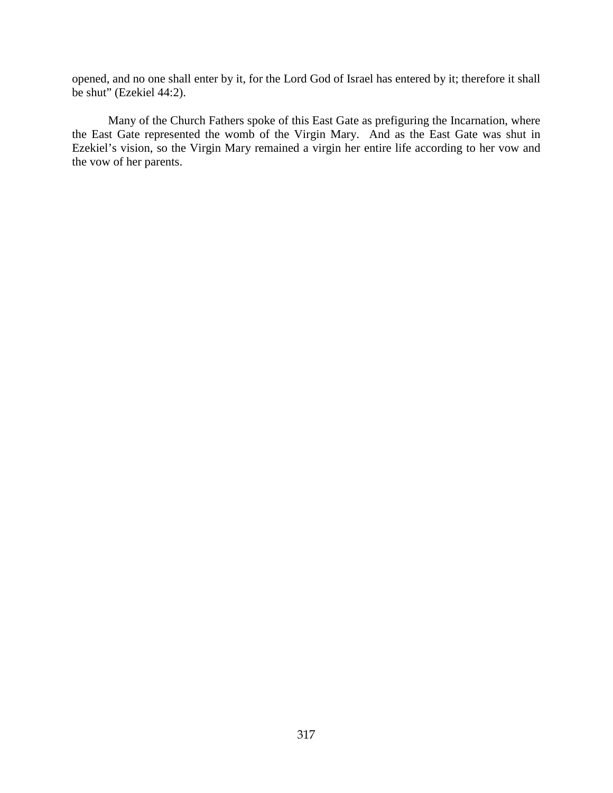opened, and no one shall enter by it, for the Lord God of Israel has entered by it; therefore it shall be shut" (Ezekiel 44:2).

Many of the Church Fathers spoke of this East Gate as prefiguring the Incarnation, where the East Gate represented the womb of the Virgin Mary. And as the East Gate was shut in Ezekiel's vision, so the Virgin Mary remained a virgin her entire life according to her vow and the vow of her parents.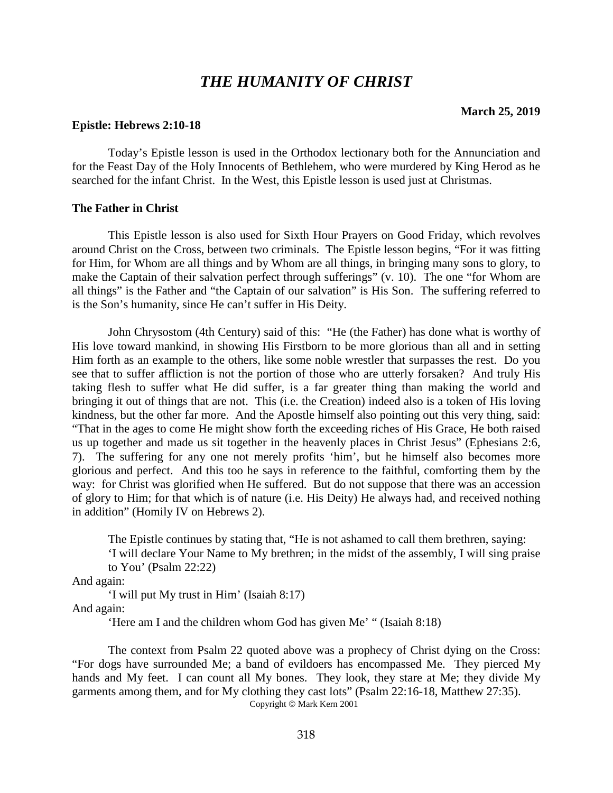# *THE HUMANITY OF CHRIST*

### **Epistle: Hebrews 2:10-18**

Today's Epistle lesson is used in the Orthodox lectionary both for the Annunciation and for the Feast Day of the Holy Innocents of Bethlehem, who were murdered by King Herod as he searched for the infant Christ. In the West, this Epistle lesson is used just at Christmas.

### **The Father in Christ**

This Epistle lesson is also used for Sixth Hour Prayers on Good Friday, which revolves around Christ on the Cross, between two criminals. The Epistle lesson begins, "For it was fitting for Him, for Whom are all things and by Whom are all things, in bringing many sons to glory, to make the Captain of their salvation perfect through sufferings" (v. 10). The one "for Whom are all things" is the Father and "the Captain of our salvation" is His Son. The suffering referred to is the Son's humanity, since He can't suffer in His Deity.

John Chrysostom (4th Century) said of this: "He (the Father) has done what is worthy of His love toward mankind, in showing His Firstborn to be more glorious than all and in setting Him forth as an example to the others, like some noble wrestler that surpasses the rest. Do you see that to suffer affliction is not the portion of those who are utterly forsaken? And truly His taking flesh to suffer what He did suffer, is a far greater thing than making the world and bringing it out of things that are not. This (i.e. the Creation) indeed also is a token of His loving kindness, but the other far more. And the Apostle himself also pointing out this very thing, said: "That in the ages to come He might show forth the exceeding riches of His Grace, He both raised us up together and made us sit together in the heavenly places in Christ Jesus" (Ephesians 2:6, 7). The suffering for any one not merely profits 'him', but he himself also becomes more glorious and perfect. And this too he says in reference to the faithful, comforting them by the way: for Christ was glorified when He suffered. But do not suppose that there was an accession of glory to Him; for that which is of nature (i.e. His Deity) He always had, and received nothing in addition" (Homily IV on Hebrews 2).

The Epistle continues by stating that, "He is not ashamed to call them brethren, saying:

'I will declare Your Name to My brethren; in the midst of the assembly, I will sing praise to You' (Psalm 22:22)

And again:

'I will put My trust in Him' (Isaiah 8:17)

And again:

'Here am I and the children whom God has given Me' " (Isaiah 8:18)

The context from Psalm 22 quoted above was a prophecy of Christ dying on the Cross: "For dogs have surrounded Me; a band of evildoers has encompassed Me. They pierced My hands and My feet. I can count all My bones. They look, they stare at Me; they divide My garments among them, and for My clothing they cast lots" (Psalm 22:16-18, Matthew 27:35). Copyright © Mark Kern 2001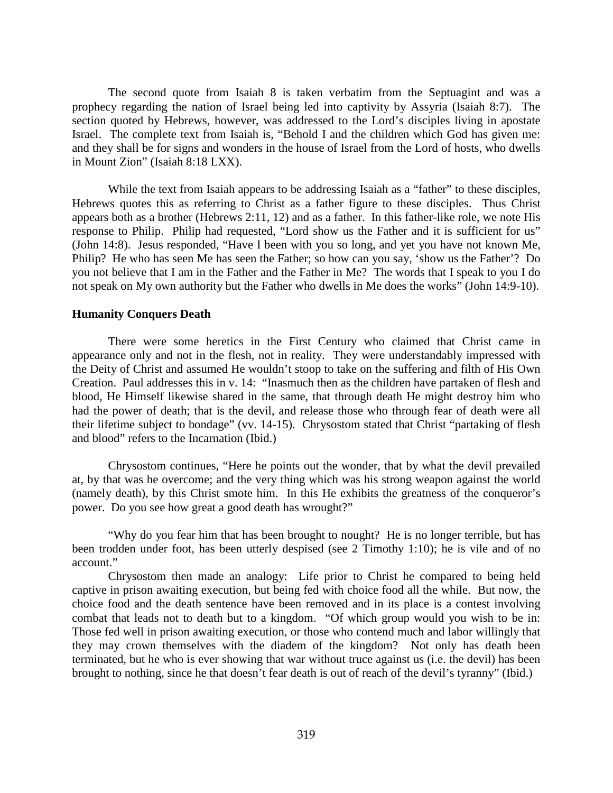The second quote from Isaiah 8 is taken verbatim from the Septuagint and was a prophecy regarding the nation of Israel being led into captivity by Assyria (Isaiah 8:7). The section quoted by Hebrews, however, was addressed to the Lord's disciples living in apostate Israel. The complete text from Isaiah is, "Behold I and the children which God has given me: and they shall be for signs and wonders in the house of Israel from the Lord of hosts, who dwells in Mount Zion" (Isaiah 8:18 LXX).

While the text from Isaiah appears to be addressing Isaiah as a "father" to these disciples, Hebrews quotes this as referring to Christ as a father figure to these disciples. Thus Christ appears both as a brother (Hebrews 2:11, 12) and as a father. In this father-like role, we note His response to Philip. Philip had requested, "Lord show us the Father and it is sufficient for us" (John 14:8). Jesus responded, "Have I been with you so long, and yet you have not known Me, Philip? He who has seen Me has seen the Father; so how can you say, 'show us the Father'? Do you not believe that I am in the Father and the Father in Me? The words that I speak to you I do not speak on My own authority but the Father who dwells in Me does the works" (John 14:9-10).

## **Humanity Conquers Death**

There were some heretics in the First Century who claimed that Christ came in appearance only and not in the flesh, not in reality. They were understandably impressed with the Deity of Christ and assumed He wouldn't stoop to take on the suffering and filth of His Own Creation. Paul addresses this in v. 14: "Inasmuch then as the children have partaken of flesh and blood, He Himself likewise shared in the same, that through death He might destroy him who had the power of death; that is the devil, and release those who through fear of death were all their lifetime subject to bondage" (vv. 14-15). Chrysostom stated that Christ "partaking of flesh and blood" refers to the Incarnation (Ibid.)

Chrysostom continues, "Here he points out the wonder, that by what the devil prevailed at, by that was he overcome; and the very thing which was his strong weapon against the world (namely death), by this Christ smote him. In this He exhibits the greatness of the conqueror's power. Do you see how great a good death has wrought?"

"Why do you fear him that has been brought to nought? He is no longer terrible, but has been trodden under foot, has been utterly despised (see 2 Timothy 1:10); he is vile and of no account."

Chrysostom then made an analogy: Life prior to Christ he compared to being held captive in prison awaiting execution, but being fed with choice food all the while. But now, the choice food and the death sentence have been removed and in its place is a contest involving combat that leads not to death but to a kingdom. "Of which group would you wish to be in: Those fed well in prison awaiting execution, or those who contend much and labor willingly that they may crown themselves with the diadem of the kingdom? Not only has death been terminated, but he who is ever showing that war without truce against us (i.e. the devil) has been brought to nothing, since he that doesn't fear death is out of reach of the devil's tyranny" (Ibid.)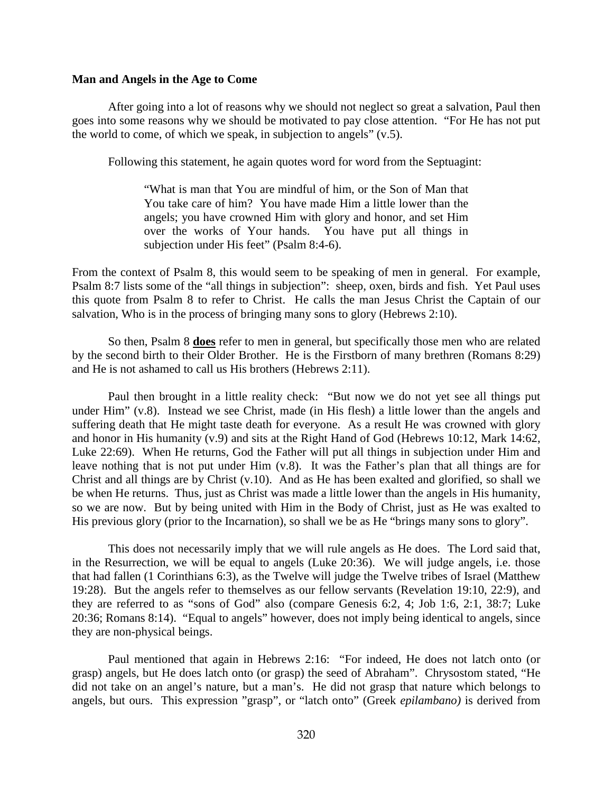#### **Man and Angels in the Age to Come**

After going into a lot of reasons why we should not neglect so great a salvation, Paul then goes into some reasons why we should be motivated to pay close attention. "For He has not put the world to come, of which we speak, in subjection to angels" (v.5).

Following this statement, he again quotes word for word from the Septuagint:

"What is man that You are mindful of him, or the Son of Man that You take care of him? You have made Him a little lower than the angels; you have crowned Him with glory and honor, and set Him over the works of Your hands. You have put all things in subjection under His feet" (Psalm 8:4-6).

From the context of Psalm 8, this would seem to be speaking of men in general. For example, Psalm 8:7 lists some of the "all things in subjection": sheep, oxen, birds and fish. Yet Paul uses this quote from Psalm 8 to refer to Christ. He calls the man Jesus Christ the Captain of our salvation, Who is in the process of bringing many sons to glory (Hebrews 2:10).

So then, Psalm 8 **does** refer to men in general, but specifically those men who are related by the second birth to their Older Brother. He is the Firstborn of many brethren (Romans 8:29) and He is not ashamed to call us His brothers (Hebrews 2:11).

Paul then brought in a little reality check: "But now we do not yet see all things put under Him" (v.8). Instead we see Christ, made (in His flesh) a little lower than the angels and suffering death that He might taste death for everyone. As a result He was crowned with glory and honor in His humanity (v.9) and sits at the Right Hand of God (Hebrews 10:12, Mark 14:62, Luke 22:69). When He returns, God the Father will put all things in subjection under Him and leave nothing that is not put under Him (v.8). It was the Father's plan that all things are for Christ and all things are by Christ (v.10). And as He has been exalted and glorified, so shall we be when He returns. Thus, just as Christ was made a little lower than the angels in His humanity, so we are now. But by being united with Him in the Body of Christ, just as He was exalted to His previous glory (prior to the Incarnation), so shall we be as He "brings many sons to glory".

This does not necessarily imply that we will rule angels as He does. The Lord said that, in the Resurrection, we will be equal to angels (Luke 20:36). We will judge angels, i.e. those that had fallen (1 Corinthians 6:3), as the Twelve will judge the Twelve tribes of Israel (Matthew 19:28). But the angels refer to themselves as our fellow servants (Revelation 19:10, 22:9), and they are referred to as "sons of God" also (compare Genesis 6:2, 4; Job 1:6, 2:1, 38:7; Luke 20:36; Romans 8:14). "Equal to angels" however, does not imply being identical to angels, since they are non-physical beings.

Paul mentioned that again in Hebrews 2:16: "For indeed, He does not latch onto (or grasp) angels, but He does latch onto (or grasp) the seed of Abraham". Chrysostom stated, "He did not take on an angel's nature, but a man's. He did not grasp that nature which belongs to angels, but ours. This expression "grasp", or "latch onto" (Greek *epilambano)* is derived from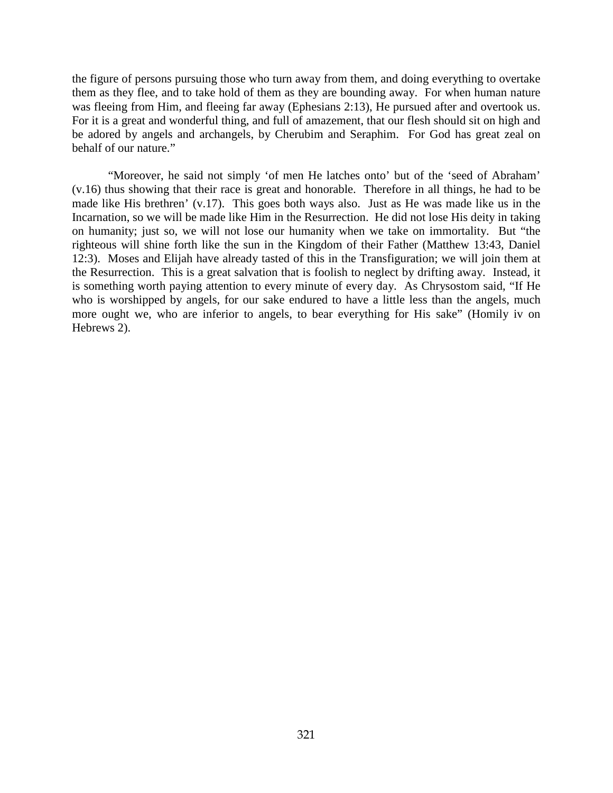the figure of persons pursuing those who turn away from them, and doing everything to overtake them as they flee, and to take hold of them as they are bounding away. For when human nature was fleeing from Him, and fleeing far away (Ephesians 2:13), He pursued after and overtook us. For it is a great and wonderful thing, and full of amazement, that our flesh should sit on high and be adored by angels and archangels, by Cherubim and Seraphim. For God has great zeal on behalf of our nature."

"Moreover, he said not simply 'of men He latches onto' but of the 'seed of Abraham' (v.16) thus showing that their race is great and honorable. Therefore in all things, he had to be made like His brethren' (v.17). This goes both ways also. Just as He was made like us in the Incarnation, so we will be made like Him in the Resurrection. He did not lose His deity in taking on humanity; just so, we will not lose our humanity when we take on immortality. But "the righteous will shine forth like the sun in the Kingdom of their Father (Matthew 13:43, Daniel 12:3). Moses and Elijah have already tasted of this in the Transfiguration; we will join them at the Resurrection. This is a great salvation that is foolish to neglect by drifting away. Instead, it is something worth paying attention to every minute of every day. As Chrysostom said, "If He who is worshipped by angels, for our sake endured to have a little less than the angels, much more ought we, who are inferior to angels, to bear everything for His sake" (Homily iv on Hebrews 2).